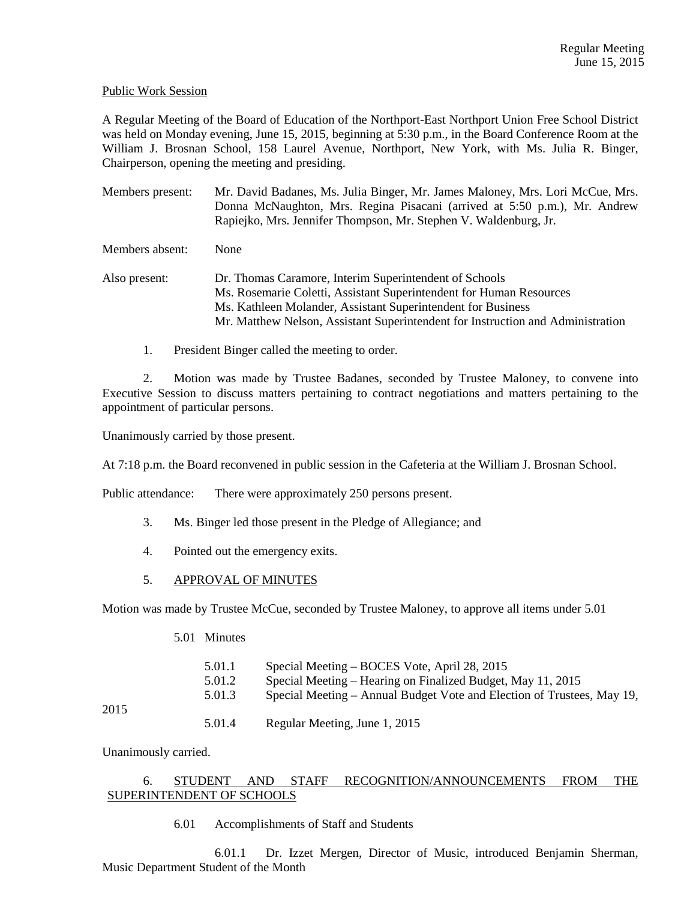### Public Work Session

A Regular Meeting of the Board of Education of the Northport-East Northport Union Free School District was held on Monday evening, June 15, 2015, beginning at 5:30 p.m., in the Board Conference Room at the William J. Brosnan School, 158 Laurel Avenue, Northport, New York, with Ms. Julia R. Binger, Chairperson, opening the meeting and presiding.

Members present: Mr. David Badanes, Ms. Julia Binger, Mr. James Maloney, Mrs. Lori McCue, Mrs. Donna McNaughton, Mrs. Regina Pisacani (arrived at 5:50 p.m.), Mr. Andrew Rapiejko, Mrs. Jennifer Thompson, Mr. Stephen V. Waldenburg, Jr.

Members absent: None

- Also present: Dr. Thomas Caramore, Interim Superintendent of Schools Ms. Rosemarie Coletti, Assistant Superintendent for Human Resources Ms. Kathleen Molander, Assistant Superintendent for Business Mr. Matthew Nelson, Assistant Superintendent for Instruction and Administration
	- 1. President Binger called the meeting to order.

 2. Motion was made by Trustee Badanes, seconded by Trustee Maloney, to convene into Executive Session to discuss matters pertaining to contract negotiations and matters pertaining to the appointment of particular persons.

Unanimously carried by those present.

At 7:18 p.m. the Board reconvened in public session in the Cafeteria at the William J. Brosnan School.

Public attendance: There were approximately 250 persons present.

- 3. Ms. Binger led those present in the Pledge of Allegiance; and
- 4. Pointed out the emergency exits.
- 5. APPROVAL OF MINUTES

Motion was made by Trustee McCue, seconded by Trustee Maloney, to approve all items under 5.01

5.01 Minutes

|      | 5.01.1 | Special Meeting – BOCES Vote, April 28, 2015                           |
|------|--------|------------------------------------------------------------------------|
|      | 5.01.2 | Special Meeting – Hearing on Finalized Budget, May 11, 2015            |
|      | 5.01.3 | Special Meeting – Annual Budget Vote and Election of Trustees, May 19, |
| 2015 |        |                                                                        |

5.01.4 Regular Meeting, June 1, 2015

Unanimously carried.

# 6. STUDENT AND STAFF RECOGNITION/ANNOUNCEMENTS FROM THE SUPERINTENDENT OF SCHOOLS

6.01 Accomplishments of Staff and Students

 6.01.1 Dr. Izzet Mergen, Director of Music, introduced Benjamin Sherman, Music Department Student of the Month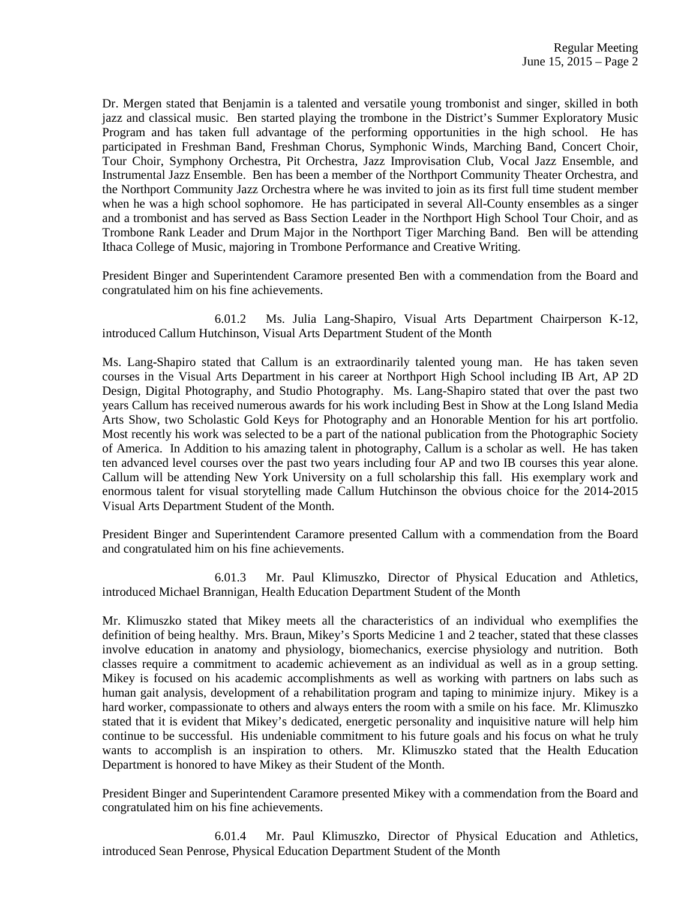Dr. Mergen stated that Benjamin is a talented and versatile young trombonist and singer, skilled in both jazz and classical music. Ben started playing the trombone in the District's Summer Exploratory Music Program and has taken full advantage of the performing opportunities in the high school. He has participated in Freshman Band, Freshman Chorus, Symphonic Winds, Marching Band, Concert Choir, Tour Choir, Symphony Orchestra, Pit Orchestra, Jazz Improvisation Club, Vocal Jazz Ensemble, and Instrumental Jazz Ensemble. Ben has been a member of the Northport Community Theater Orchestra, and the Northport Community Jazz Orchestra where he was invited to join as its first full time student member when he was a high school sophomore. He has participated in several All-County ensembles as a singer and a trombonist and has served as Bass Section Leader in the Northport High School Tour Choir, and as Trombone Rank Leader and Drum Major in the Northport Tiger Marching Band. Ben will be attending Ithaca College of Music, majoring in Trombone Performance and Creative Writing.

President Binger and Superintendent Caramore presented Ben with a commendation from the Board and congratulated him on his fine achievements.

 6.01.2 Ms. Julia Lang-Shapiro, Visual Arts Department Chairperson K-12, introduced Callum Hutchinson, Visual Arts Department Student of the Month

Ms. Lang-Shapiro stated that Callum is an extraordinarily talented young man. He has taken seven courses in the Visual Arts Department in his career at Northport High School including IB Art, AP 2D Design, Digital Photography, and Studio Photography. Ms. Lang-Shapiro stated that over the past two years Callum has received numerous awards for his work including Best in Show at the Long Island Media Arts Show, two Scholastic Gold Keys for Photography and an Honorable Mention for his art portfolio. Most recently his work was selected to be a part of the national publication from the Photographic Society of America. In Addition to his amazing talent in photography, Callum is a scholar as well. He has taken ten advanced level courses over the past two years including four AP and two IB courses this year alone. Callum will be attending New York University on a full scholarship this fall. His exemplary work and enormous talent for visual storytelling made Callum Hutchinson the obvious choice for the 2014-2015 Visual Arts Department Student of the Month.

President Binger and Superintendent Caramore presented Callum with a commendation from the Board and congratulated him on his fine achievements.

 6.01.3 Mr. Paul Klimuszko, Director of Physical Education and Athletics, introduced Michael Brannigan, Health Education Department Student of the Month

Mr. Klimuszko stated that Mikey meets all the characteristics of an individual who exemplifies the definition of being healthy. Mrs. Braun, Mikey's Sports Medicine 1 and 2 teacher, stated that these classes involve education in anatomy and physiology, biomechanics, exercise physiology and nutrition. Both classes require a commitment to academic achievement as an individual as well as in a group setting. Mikey is focused on his academic accomplishments as well as working with partners on labs such as human gait analysis, development of a rehabilitation program and taping to minimize injury. Mikey is a hard worker, compassionate to others and always enters the room with a smile on his face. Mr. Klimuszko stated that it is evident that Mikey's dedicated, energetic personality and inquisitive nature will help him continue to be successful. His undeniable commitment to his future goals and his focus on what he truly wants to accomplish is an inspiration to others. Mr. Klimuszko stated that the Health Education Department is honored to have Mikey as their Student of the Month.

President Binger and Superintendent Caramore presented Mikey with a commendation from the Board and congratulated him on his fine achievements.

 6.01.4 Mr. Paul Klimuszko, Director of Physical Education and Athletics, introduced Sean Penrose, Physical Education Department Student of the Month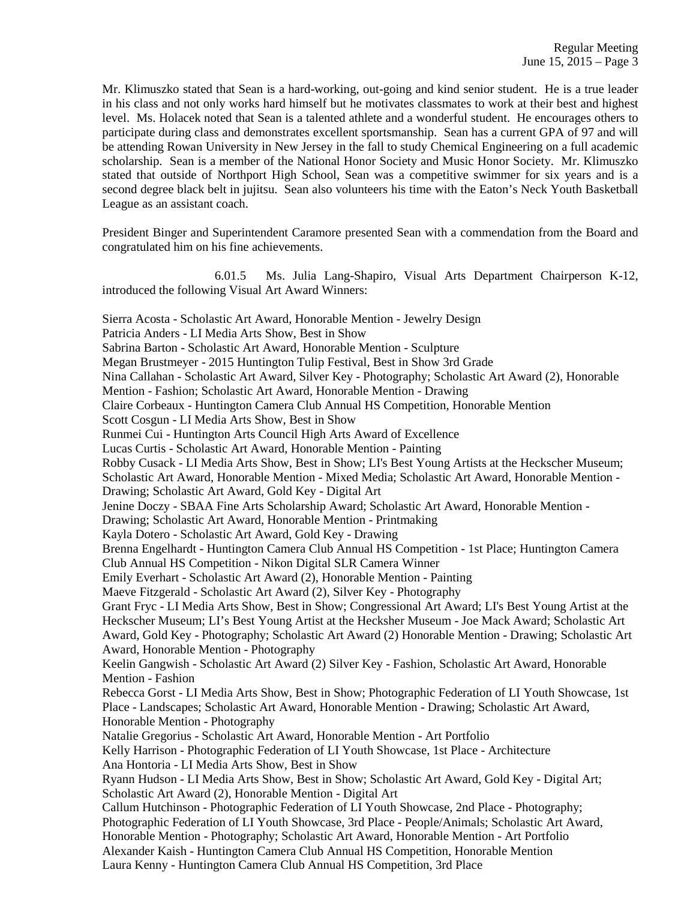Mr. Klimuszko stated that Sean is a hard-working, out-going and kind senior student. He is a true leader in his class and not only works hard himself but he motivates classmates to work at their best and highest level. Ms. Holacek noted that Sean is a talented athlete and a wonderful student. He encourages others to participate during class and demonstrates excellent sportsmanship. Sean has a current GPA of 97 and will be attending Rowan University in New Jersey in the fall to study Chemical Engineering on a full academic scholarship. Sean is a member of the National Honor Society and Music Honor Society. Mr. Klimuszko stated that outside of Northport High School, Sean was a competitive swimmer for six years and is a second degree black belt in jujitsu. Sean also volunteers his time with the Eaton's Neck Youth Basketball League as an assistant coach.

President Binger and Superintendent Caramore presented Sean with a commendation from the Board and congratulated him on his fine achievements.

 6.01.5 Ms. Julia Lang-Shapiro, Visual Arts Department Chairperson K-12, introduced the following Visual Art Award Winners:

Sierra Acosta - Scholastic Art Award, Honorable Mention - Jewelry Design Patricia Anders - LI Media Arts Show, Best in Show Sabrina Barton - Scholastic Art Award, Honorable Mention - Sculpture Megan Brustmeyer - 2015 Huntington Tulip Festival, Best in Show 3rd Grade Nina Callahan - Scholastic Art Award, Silver Key - Photography; Scholastic Art Award (2), Honorable Mention - Fashion; Scholastic Art Award, Honorable Mention - Drawing Claire Corbeaux - Huntington Camera Club Annual HS Competition, Honorable Mention Scott Cosgun - LI Media Arts Show, Best in Show Runmei Cui - Huntington Arts Council High Arts Award of Excellence Lucas Curtis - Scholastic Art Award, Honorable Mention - Painting Robby Cusack - LI Media Arts Show, Best in Show; LI's Best Young Artists at the Heckscher Museum; Scholastic Art Award, Honorable Mention - Mixed Media; Scholastic Art Award, Honorable Mention - Drawing; Scholastic Art Award, Gold Key - Digital Art Jenine Doczy - SBAA Fine Arts Scholarship Award; Scholastic Art Award, Honorable Mention - Drawing; Scholastic Art Award, Honorable Mention - Printmaking Kayla Dotero - Scholastic Art Award, Gold Key - Drawing Brenna Engelhardt - Huntington Camera Club Annual HS Competition - 1st Place; Huntington Camera Club Annual HS Competition - Nikon Digital SLR Camera Winner Emily Everhart - Scholastic Art Award (2), Honorable Mention - Painting Maeve Fitzgerald - Scholastic Art Award (2), Silver Key - Photography Grant Fryc - LI Media Arts Show, Best in Show; Congressional Art Award; LI's Best Young Artist at the Heckscher Museum; LI's Best Young Artist at the Hecksher Museum - Joe Mack Award; Scholastic Art Award, Gold Key - Photography; Scholastic Art Award (2) Honorable Mention - Drawing; Scholastic Art Award, Honorable Mention - Photography Keelin Gangwish - Scholastic Art Award (2) Silver Key - Fashion, Scholastic Art Award, Honorable Mention - Fashion Rebecca Gorst - LI Media Arts Show, Best in Show; Photographic Federation of LI Youth Showcase, 1st Place - Landscapes; Scholastic Art Award, Honorable Mention - Drawing; Scholastic Art Award, Honorable Mention - Photography Natalie Gregorius - Scholastic Art Award, Honorable Mention - Art Portfolio Kelly Harrison - Photographic Federation of LI Youth Showcase, 1st Place - Architecture Ana Hontoria - LI Media Arts Show, Best in Show Ryann Hudson - LI Media Arts Show, Best in Show; Scholastic Art Award, Gold Key - Digital Art; Scholastic Art Award (2), Honorable Mention - Digital Art Callum Hutchinson - Photographic Federation of LI Youth Showcase, 2nd Place - Photography; Photographic Federation of LI Youth Showcase, 3rd Place - People/Animals; Scholastic Art Award, Honorable Mention - Photography; Scholastic Art Award, Honorable Mention - Art Portfolio Alexander Kaish - Huntington Camera Club Annual HS Competition, Honorable Mention Laura Kenny - Huntington Camera Club Annual HS Competition, 3rd Place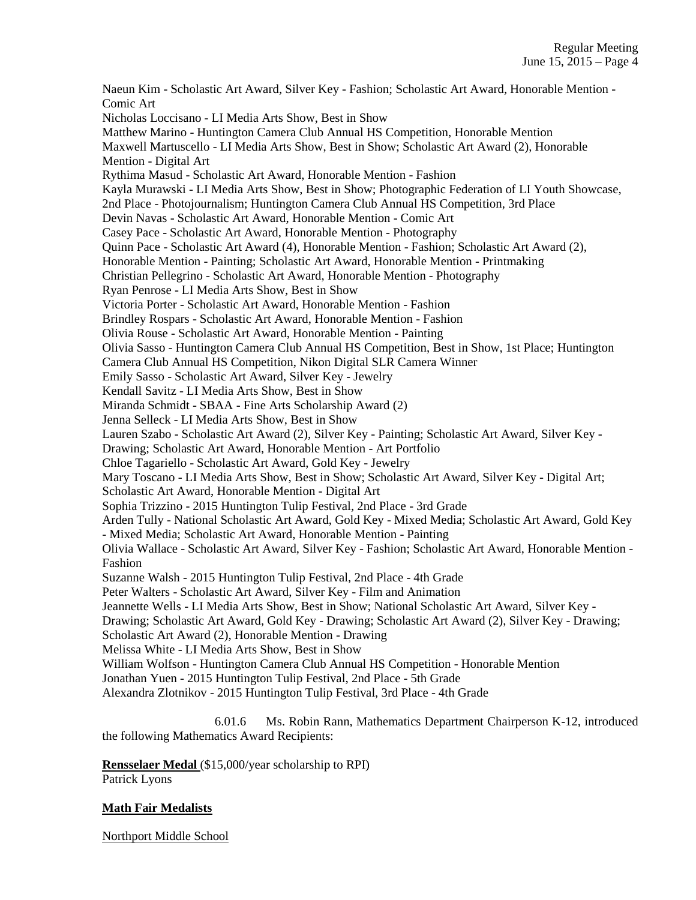Naeun Kim - Scholastic Art Award, Silver Key - Fashion; Scholastic Art Award, Honorable Mention - Comic Art Nicholas Loccisano - LI Media Arts Show, Best in Show Matthew Marino - Huntington Camera Club Annual HS Competition, Honorable Mention Maxwell Martuscello - LI Media Arts Show, Best in Show; Scholastic Art Award (2), Honorable Mention - Digital Art Rythima Masud - Scholastic Art Award, Honorable Mention - Fashion Kayla Murawski - LI Media Arts Show, Best in Show; Photographic Federation of LI Youth Showcase, 2nd Place - Photojournalism; Huntington Camera Club Annual HS Competition, 3rd Place Devin Navas - Scholastic Art Award, Honorable Mention - Comic Art Casey Pace - Scholastic Art Award, Honorable Mention - Photography Quinn Pace - Scholastic Art Award (4), Honorable Mention - Fashion; Scholastic Art Award (2), Honorable Mention - Painting; Scholastic Art Award, Honorable Mention - Printmaking Christian Pellegrino - Scholastic Art Award, Honorable Mention - Photography Ryan Penrose - LI Media Arts Show, Best in Show Victoria Porter - Scholastic Art Award, Honorable Mention - Fashion Brindley Rospars - Scholastic Art Award, Honorable Mention - Fashion Olivia Rouse - Scholastic Art Award, Honorable Mention - Painting Olivia Sasso - Huntington Camera Club Annual HS Competition, Best in Show, 1st Place; Huntington Camera Club Annual HS Competition, Nikon Digital SLR Camera Winner Emily Sasso - Scholastic Art Award, Silver Key - Jewelry Kendall Savitz - LI Media Arts Show, Best in Show Miranda Schmidt - SBAA - Fine Arts Scholarship Award (2) Jenna Selleck - LI Media Arts Show, Best in Show Lauren Szabo - Scholastic Art Award (2), Silver Key - Painting; Scholastic Art Award, Silver Key - Drawing; Scholastic Art Award, Honorable Mention - Art Portfolio Chloe Tagariello - Scholastic Art Award, Gold Key - Jewelry Mary Toscano - LI Media Arts Show, Best in Show; Scholastic Art Award, Silver Key - Digital Art; Scholastic Art Award, Honorable Mention - Digital Art Sophia Trizzino - 2015 Huntington Tulip Festival, 2nd Place - 3rd Grade Arden Tully - National Scholastic Art Award, Gold Key - Mixed Media; Scholastic Art Award, Gold Key - Mixed Media; Scholastic Art Award, Honorable Mention - Painting Olivia Wallace - Scholastic Art Award, Silver Key - Fashion; Scholastic Art Award, Honorable Mention - Fashion Suzanne Walsh - 2015 Huntington Tulip Festival, 2nd Place - 4th Grade Peter Walters - Scholastic Art Award, Silver Key - Film and Animation Jeannette Wells - LI Media Arts Show, Best in Show; National Scholastic Art Award, Silver Key - Drawing; Scholastic Art Award, Gold Key - Drawing; Scholastic Art Award (2), Silver Key - Drawing; Scholastic Art Award (2), Honorable Mention - Drawing Melissa White - LI Media Arts Show, Best in Show William Wolfson - Huntington Camera Club Annual HS Competition - Honorable Mention Jonathan Yuen - 2015 Huntington Tulip Festival, 2nd Place - 5th Grade Alexandra Zlotnikov - 2015 Huntington Tulip Festival, 3rd Place - 4th Grade

 6.01.6 Ms. Robin Rann, Mathematics Department Chairperson K-12, introduced the following Mathematics Award Recipients:

**Rensselaer Medal** (\$15,000/year scholarship to RPI)

Patrick Lyons

# **Math Fair Medalists**

Northport Middle School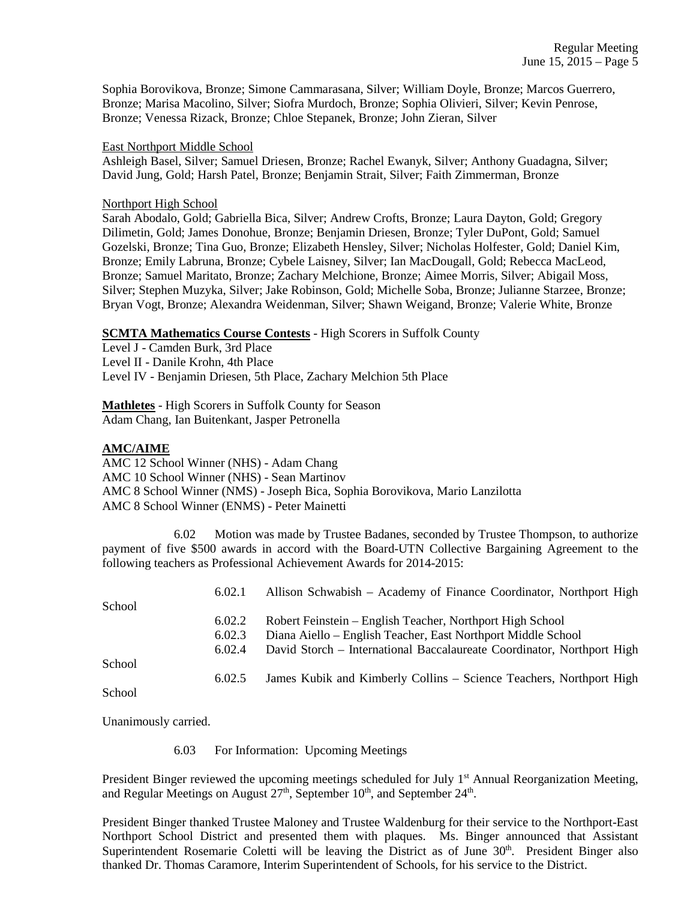Sophia Borovikova, Bronze; Simone Cammarasana, Silver; William Doyle, Bronze; Marcos Guerrero, Bronze; Marisa Macolino, Silver; Siofra Murdoch, Bronze; Sophia Olivieri, Silver; Kevin Penrose, Bronze; Venessa Rizack, Bronze; Chloe Stepanek, Bronze; John Zieran, Silver

#### East Northport Middle School

Ashleigh Basel, Silver; Samuel Driesen, Bronze; Rachel Ewanyk, Silver; Anthony Guadagna, Silver; David Jung, Gold; Harsh Patel, Bronze; Benjamin Strait, Silver; Faith Zimmerman, Bronze

### Northport High School

Sarah Abodalo, Gold; Gabriella Bica, Silver; Andrew Crofts, Bronze; Laura Dayton, Gold; Gregory Dilimetin, Gold; James Donohue, Bronze; Benjamin Driesen, Bronze; Tyler DuPont, Gold; Samuel Gozelski, Bronze; Tina Guo, Bronze; Elizabeth Hensley, Silver; Nicholas Holfester, Gold; Daniel Kim, Bronze; Emily Labruna, Bronze; Cybele Laisney, Silver; Ian MacDougall, Gold; Rebecca MacLeod, Bronze; Samuel Maritato, Bronze; Zachary Melchione, Bronze; Aimee Morris, Silver; Abigail Moss, Silver; Stephen Muzyka, Silver; Jake Robinson, Gold; Michelle Soba, Bronze; Julianne Starzee, Bronze; Bryan Vogt, Bronze; Alexandra Weidenman, Silver; Shawn Weigand, Bronze; Valerie White, Bronze

# **SCMTA Mathematics Course Contests** - High Scorers in Suffolk County

Level J - Camden Burk, 3rd Place Level II - Danile Krohn, 4th Place Level IV - Benjamin Driesen, 5th Place, Zachary Melchion 5th Place

**Mathletes** - High Scorers in Suffolk County for Season Adam Chang, Ian Buitenkant, Jasper Petronella

# **AMC/AIME**

AMC 12 School Winner (NHS) - Adam Chang AMC 10 School Winner (NHS) - Sean Martinov AMC 8 School Winner (NMS) - Joseph Bica, Sophia Borovikova, Mario Lanzilotta AMC 8 School Winner (ENMS) - Peter Mainetti

 6.02 Motion was made by Trustee Badanes, seconded by Trustee Thompson, to authorize payment of five \$500 awards in accord with the Board-UTN Collective Bargaining Agreement to the following teachers as Professional Achievement Awards for 2014-2015:

|        | 6.02.1 | Allison Schwabish – Academy of Finance Coordinator, Northport High     |
|--------|--------|------------------------------------------------------------------------|
| School |        |                                                                        |
|        | 6.02.2 | Robert Feinstein – English Teacher, Northport High School              |
|        | 6.02.3 | Diana Aiello – English Teacher, East Northport Middle School           |
|        | 6.02.4 | David Storch – International Baccalaureate Coordinator, Northport High |
| School |        |                                                                        |
|        | 6.02.5 | James Kubik and Kimberly Collins – Science Teachers, Northport High    |
| School |        |                                                                        |

Unanimously carried.

6.03 For Information: Upcoming Meetings

President Binger reviewed the upcoming meetings scheduled for July 1<sup>st</sup> Annual Reorganization Meeting, and Regular Meetings on August  $27<sup>th</sup>$ , September  $10<sup>th</sup>$ , and September  $24<sup>th</sup>$ .

President Binger thanked Trustee Maloney and Trustee Waldenburg for their service to the Northport-East Northport School District and presented them with plaques. Ms. Binger announced that Assistant Superintendent Rosemarie Coletti will be leaving the District as of June 30<sup>th</sup>. President Binger also thanked Dr. Thomas Caramore, Interim Superintendent of Schools, for his service to the District.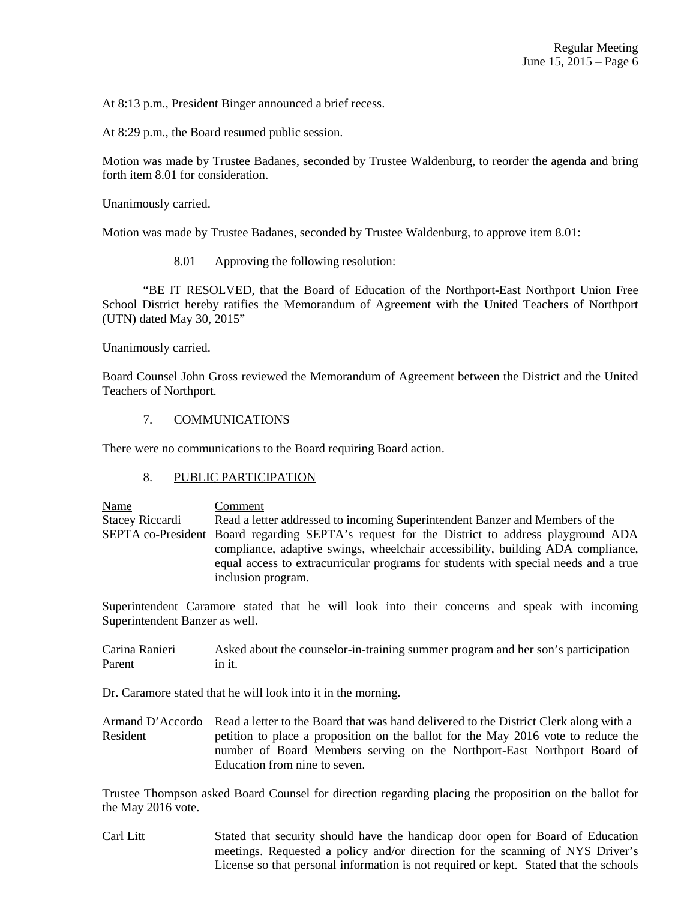At 8:13 p.m., President Binger announced a brief recess.

At 8:29 p.m., the Board resumed public session.

Motion was made by Trustee Badanes, seconded by Trustee Waldenburg, to reorder the agenda and bring forth item 8.01 for consideration.

Unanimously carried.

Motion was made by Trustee Badanes, seconded by Trustee Waldenburg, to approve item 8.01:

8.01 Approving the following resolution:

 "BE IT RESOLVED, that the Board of Education of the Northport-East Northport Union Free School District hereby ratifies the Memorandum of Agreement with the United Teachers of Northport (UTN) dated May 30, 2015"

Unanimously carried.

Board Counsel John Gross reviewed the Memorandum of Agreement between the District and the United Teachers of Northport.

### 7. COMMUNICATIONS

There were no communications to the Board requiring Board action.

# 8. PUBLIC PARTICIPATION

Name Comment Stacey Riccardi Read a letter addressed to incoming Superintendent Banzer and Members of the SEPTA co-President Board regarding SEPTA's request for the District to address playground ADA compliance, adaptive swings, wheelchair accessibility, building ADA compliance, equal access to extracurricular programs for students with special needs and a true inclusion program.

Superintendent Caramore stated that he will look into their concerns and speak with incoming Superintendent Banzer as well.

Carina Ranieri Asked about the counselor-in-training summer program and her son's participation Parent in it.

Dr. Caramore stated that he will look into it in the morning.

Armand D'Accordo Read a letter to the Board that was hand delivered to the District Clerk along with a Resident petition to place a proposition on the ballot for the May 2016 vote to reduce the number of Board Members serving on the Northport-East Northport Board of Education from nine to seven.

Trustee Thompson asked Board Counsel for direction regarding placing the proposition on the ballot for the May 2016 vote.

Carl Litt Stated that security should have the handicap door open for Board of Education meetings. Requested a policy and/or direction for the scanning of NYS Driver's License so that personal information is not required or kept. Stated that the schools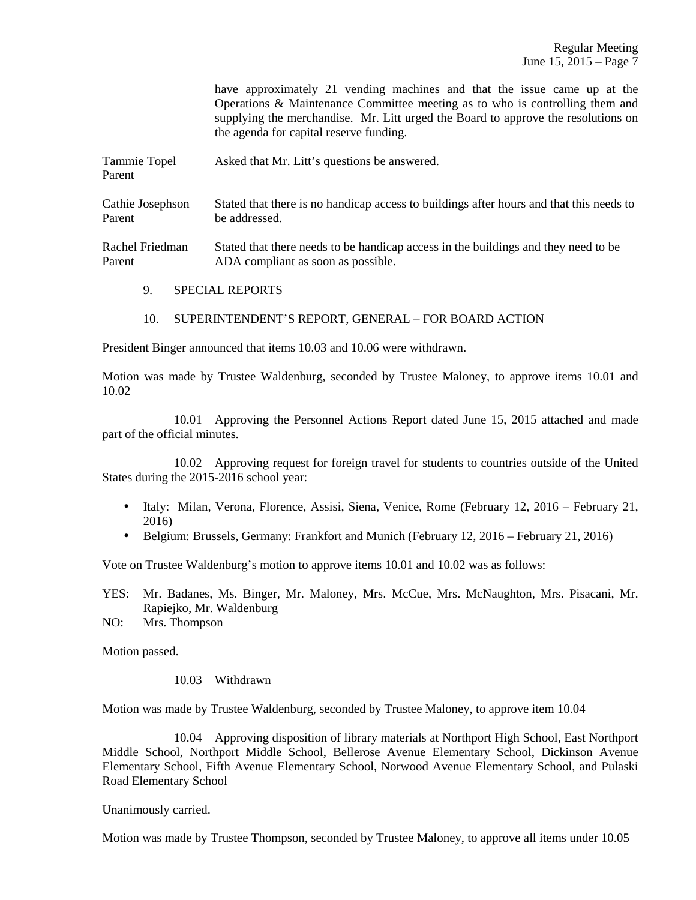|                        | have approximately 21 vending machines and that the issue came up at the<br>Operations & Maintenance Committee meeting as to who is controlling them and<br>supplying the merchandise. Mr. Litt urged the Board to approve the resolutions on<br>the agenda for capital reserve funding. |
|------------------------|------------------------------------------------------------------------------------------------------------------------------------------------------------------------------------------------------------------------------------------------------------------------------------------|
| Tammie Topel<br>Parent | Asked that Mr. Litt's questions be answered.                                                                                                                                                                                                                                             |
| Cathie Josephson       | Stated that there is no handicap access to buildings after hours and that this needs to                                                                                                                                                                                                  |
| Parent                 | be addressed.                                                                                                                                                                                                                                                                            |
| Rachel Friedman        | Stated that there needs to be handicap access in the buildings and they need to be                                                                                                                                                                                                       |
| Parent                 | ADA compliant as soon as possible.                                                                                                                                                                                                                                                       |

9. SPECIAL REPORTS

#### 10. SUPERINTENDENT'S REPORT, GENERAL – FOR BOARD ACTION

President Binger announced that items 10.03 and 10.06 were withdrawn.

Motion was made by Trustee Waldenburg, seconded by Trustee Maloney, to approve items 10.01 and 10.02

 10.01 Approving the Personnel Actions Report dated June 15, 2015 attached and made part of the official minutes.

 10.02 Approving request for foreign travel for students to countries outside of the United States during the 2015-2016 school year:

- Italy: Milan, Verona, Florence, Assisi, Siena, Venice, Rome (February 12, 2016 February 21, 2016)
- Belgium: Brussels, Germany: Frankfort and Munich (February 12, 2016 February 21, 2016)

Vote on Trustee Waldenburg's motion to approve items 10.01 and 10.02 was as follows:

- YES: Mr. Badanes, Ms. Binger, Mr. Maloney, Mrs. McCue, Mrs. McNaughton, Mrs. Pisacani, Mr. Rapiejko, Mr. Waldenburg
- NO: Mrs. Thompson

Motion passed.

#### 10.03 Withdrawn

Motion was made by Trustee Waldenburg, seconded by Trustee Maloney, to approve item 10.04

 10.04 Approving disposition of library materials at Northport High School, East Northport Middle School, Northport Middle School, Bellerose Avenue Elementary School, Dickinson Avenue Elementary School, Fifth Avenue Elementary School, Norwood Avenue Elementary School, and Pulaski Road Elementary School

Unanimously carried.

Motion was made by Trustee Thompson, seconded by Trustee Maloney, to approve all items under 10.05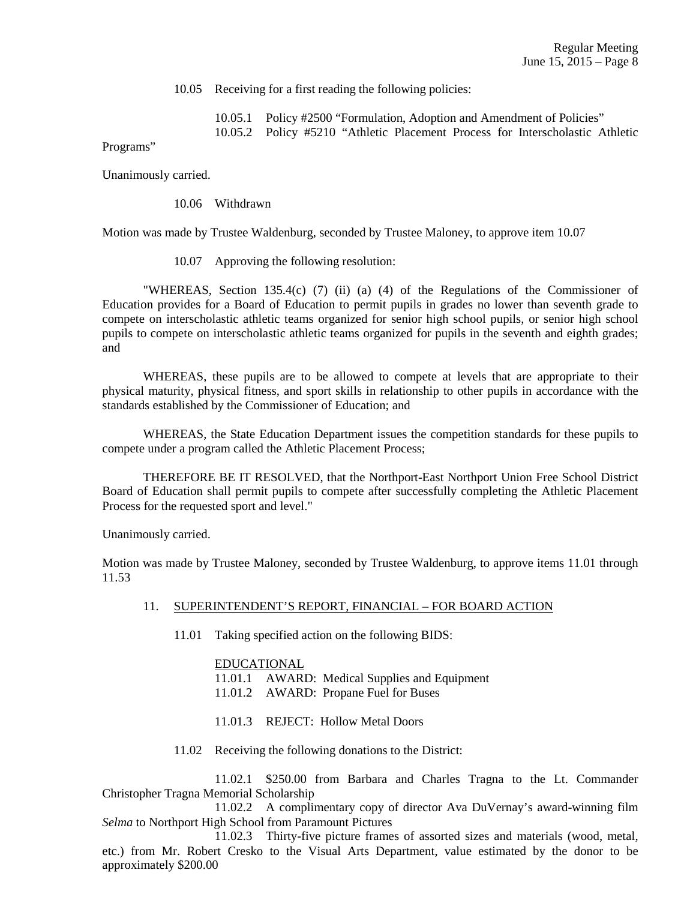10.05 Receiving for a first reading the following policies:

10.05.1 Policy #2500 "Formulation, Adoption and Amendment of Policies"

10.05.2 Policy #5210 "Athletic Placement Process for Interscholastic Athletic

Programs"

Unanimously carried.

10.06 Withdrawn

Motion was made by Trustee Waldenburg, seconded by Trustee Maloney, to approve item 10.07

10.07 Approving the following resolution:

 "WHEREAS, Section 135.4(c) (7) (ii) (a) (4) of the Regulations of the Commissioner of Education provides for a Board of Education to permit pupils in grades no lower than seventh grade to compete on interscholastic athletic teams organized for senior high school pupils, or senior high school pupils to compete on interscholastic athletic teams organized for pupils in the seventh and eighth grades; and

 WHEREAS, these pupils are to be allowed to compete at levels that are appropriate to their physical maturity, physical fitness, and sport skills in relationship to other pupils in accordance with the standards established by the Commissioner of Education; and

 WHEREAS, the State Education Department issues the competition standards for these pupils to compete under a program called the Athletic Placement Process;

 THEREFORE BE IT RESOLVED, that the Northport-East Northport Union Free School District Board of Education shall permit pupils to compete after successfully completing the Athletic Placement Process for the requested sport and level."

Unanimously carried.

Motion was made by Trustee Maloney, seconded by Trustee Waldenburg, to approve items 11.01 through 11.53

# 11. SUPERINTENDENT'S REPORT, FINANCIAL – FOR BOARD ACTION

11.01 Taking specified action on the following BIDS:

#### EDUCATIONAL

11.01.1 AWARD: Medical Supplies and Equipment

- 11.01.2 AWARD: Propane Fuel for Buses
- 11.01.3 REJECT: Hollow Metal Doors
- 11.02 Receiving the following donations to the District:

 11.02.1 \$250.00 from Barbara and Charles Tragna to the Lt. Commander Christopher Tragna Memorial Scholarship

 11.02.2 A complimentary copy of director Ava DuVernay's award-winning film *Selma* to Northport High School from Paramount Pictures

 11.02.3 Thirty-five picture frames of assorted sizes and materials (wood, metal, etc.) from Mr. Robert Cresko to the Visual Arts Department, value estimated by the donor to be approximately \$200.00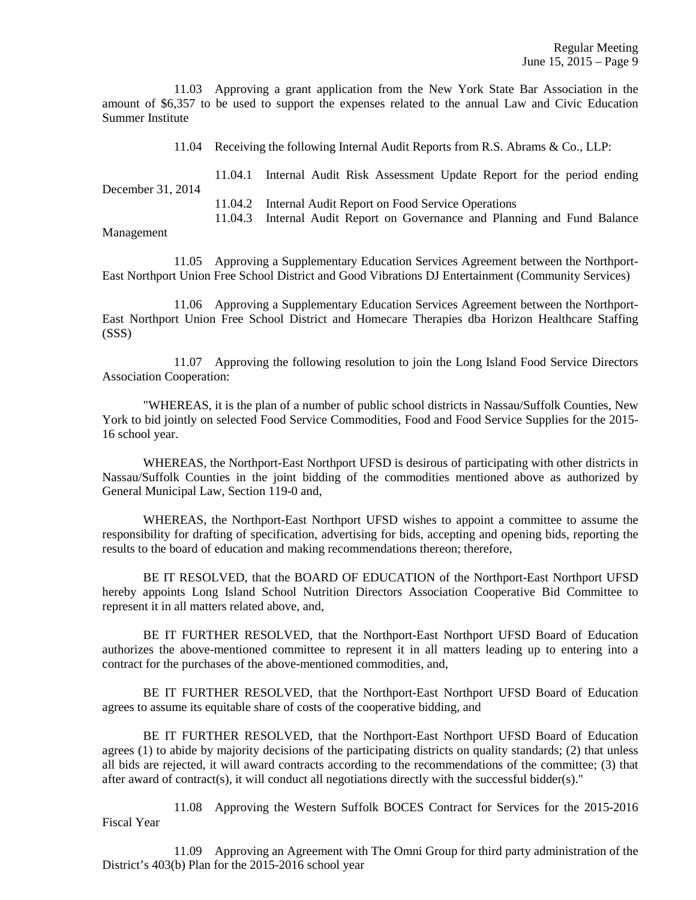11.03 Approving a grant application from the New York State Bar Association in the amount of \$6,357 to be used to support the expenses related to the annual Law and Civic Education Summer Institute

11.04 Receiving the following Internal Audit Reports from R.S. Abrams & Co., LLP:

 11.04.1 Internal Audit Risk Assessment Update Report for the period ending December 31, 2014 11.04.2 Internal Audit Report on Food Service Operations

11.04.3 Internal Audit Report on Governance and Planning and Fund Balance

#### Management

 11.05 Approving a Supplementary Education Services Agreement between the Northport-East Northport Union Free School District and Good Vibrations DJ Entertainment (Community Services)

 11.06 Approving a Supplementary Education Services Agreement between the Northport-East Northport Union Free School District and Homecare Therapies dba Horizon Healthcare Staffing (SSS)

 11.07 Approving the following resolution to join the Long Island Food Service Directors Association Cooperation:

 "WHEREAS, it is the plan of a number of public school districts in Nassau/Suffolk Counties, New York to bid jointly on selected Food Service Commodities, Food and Food Service Supplies for the 2015- 16 school year.

 WHEREAS, the Northport-East Northport UFSD is desirous of participating with other districts in Nassau/Suffolk Counties in the joint bidding of the commodities mentioned above as authorized by General Municipal Law, Section 119-0 and,

 WHEREAS, the Northport-East Northport UFSD wishes to appoint a committee to assume the responsibility for drafting of specification, advertising for bids, accepting and opening bids, reporting the results to the board of education and making recommendations thereon; therefore,

 BE IT RESOLVED, that the BOARD OF EDUCATION of the Northport-East Northport UFSD hereby appoints Long Island School Nutrition Directors Association Cooperative Bid Committee to represent it in all matters related above, and,

 BE IT FURTHER RESOLVED, that the Northport-East Northport UFSD Board of Education authorizes the above-mentioned committee to represent it in all matters leading up to entering into a contract for the purchases of the above-mentioned commodities, and,

 BE IT FURTHER RESOLVED, that the Northport-East Northport UFSD Board of Education agrees to assume its equitable share of costs of the cooperative bidding, and

 BE IT FURTHER RESOLVED, that the Northport-East Northport UFSD Board of Education agrees (1) to abide by majority decisions of the participating districts on quality standards; (2) that unless all bids are rejected, it will award contracts according to the recommendations of the committee; (3) that after award of contract(s), it will conduct all negotiations directly with the successful bidder(s)."

 11.08 Approving the Western Suffolk BOCES Contract for Services for the 2015-2016 Fiscal Year

 11.09 Approving an Agreement with The Omni Group for third party administration of the District's 403(b) Plan for the 2015-2016 school year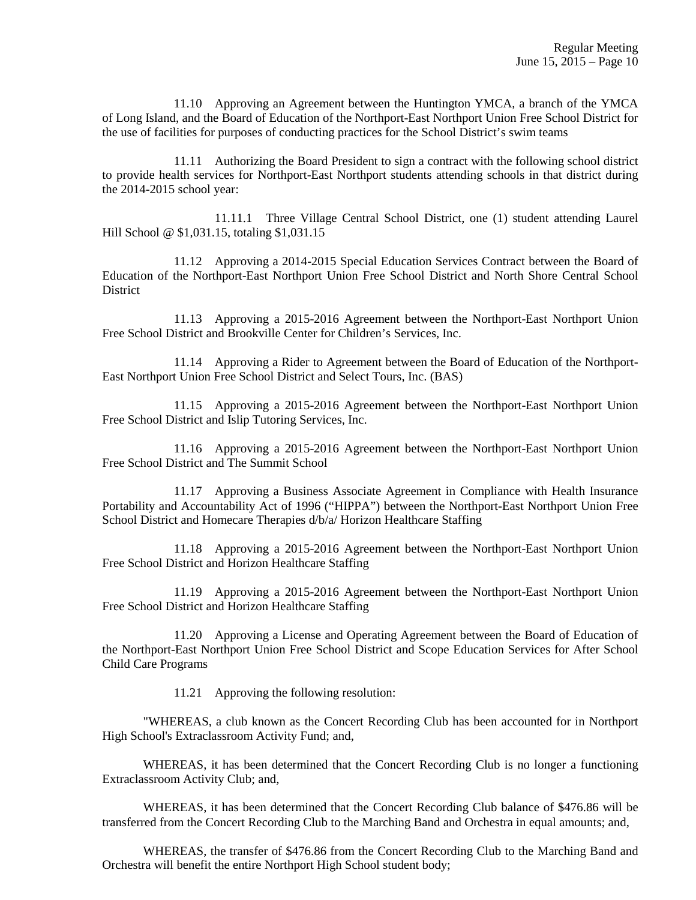11.10 Approving an Agreement between the Huntington YMCA, a branch of the YMCA of Long Island, and the Board of Education of the Northport-East Northport Union Free School District for the use of facilities for purposes of conducting practices for the School District's swim teams

 11.11 Authorizing the Board President to sign a contract with the following school district to provide health services for Northport-East Northport students attending schools in that district during the 2014-2015 school year:

 11.11.1 Three Village Central School District, one (1) student attending Laurel Hill School @ \$1,031.15, totaling \$1,031.15

 11.12 Approving a 2014-2015 Special Education Services Contract between the Board of Education of the Northport-East Northport Union Free School District and North Shore Central School District

 11.13 Approving a 2015-2016 Agreement between the Northport-East Northport Union Free School District and Brookville Center for Children's Services, Inc.

 11.14 Approving a Rider to Agreement between the Board of Education of the Northport-East Northport Union Free School District and Select Tours, Inc. (BAS)

 11.15 Approving a 2015-2016 Agreement between the Northport-East Northport Union Free School District and Islip Tutoring Services, Inc.

 11.16 Approving a 2015-2016 Agreement between the Northport-East Northport Union Free School District and The Summit School

 11.17 Approving a Business Associate Agreement in Compliance with Health Insurance Portability and Accountability Act of 1996 ("HIPPA") between the Northport-East Northport Union Free School District and Homecare Therapies d/b/a/ Horizon Healthcare Staffing

 11.18 Approving a 2015-2016 Agreement between the Northport-East Northport Union Free School District and Horizon Healthcare Staffing

 11.19 Approving a 2015-2016 Agreement between the Northport-East Northport Union Free School District and Horizon Healthcare Staffing

 11.20 Approving a License and Operating Agreement between the Board of Education of the Northport-East Northport Union Free School District and Scope Education Services for After School Child Care Programs

11.21 Approving the following resolution:

 "WHEREAS, a club known as the Concert Recording Club has been accounted for in Northport High School's Extraclassroom Activity Fund; and,

 WHEREAS, it has been determined that the Concert Recording Club is no longer a functioning Extraclassroom Activity Club; and,

 WHEREAS, it has been determined that the Concert Recording Club balance of \$476.86 will be transferred from the Concert Recording Club to the Marching Band and Orchestra in equal amounts; and,

 WHEREAS, the transfer of \$476.86 from the Concert Recording Club to the Marching Band and Orchestra will benefit the entire Northport High School student body;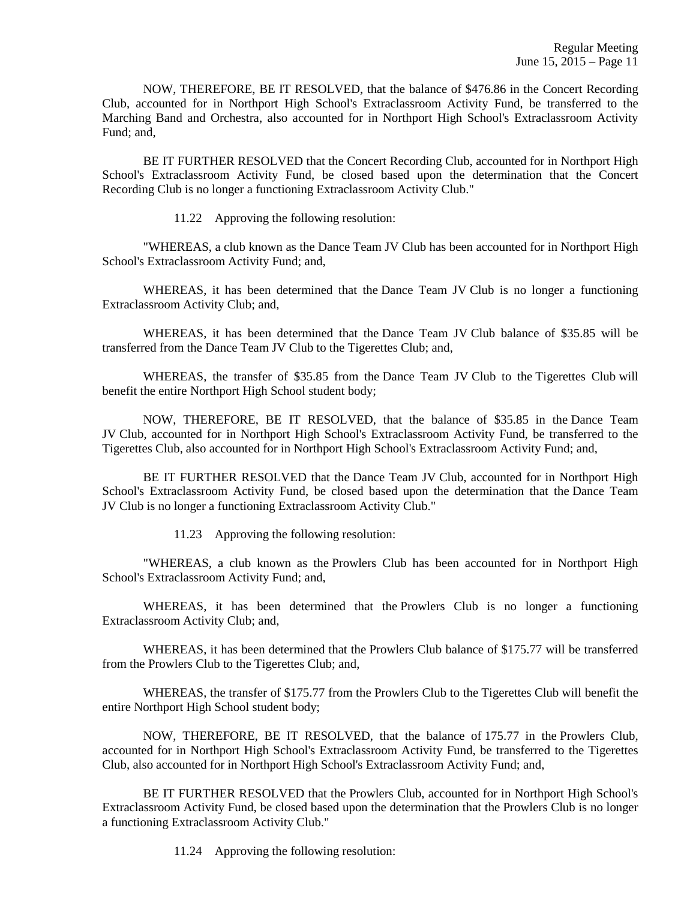NOW, THEREFORE, BE IT RESOLVED, that the balance of \$476.86 in the Concert Recording Club, accounted for in Northport High School's Extraclassroom Activity Fund, be transferred to the Marching Band and Orchestra, also accounted for in Northport High School's Extraclassroom Activity Fund; and,

 BE IT FURTHER RESOLVED that the Concert Recording Club, accounted for in Northport High School's Extraclassroom Activity Fund, be closed based upon the determination that the Concert Recording Club is no longer a functioning Extraclassroom Activity Club."

11.22 Approving the following resolution:

 "WHEREAS, a club known as the Dance Team JV Club has been accounted for in Northport High School's Extraclassroom Activity Fund; and,

 WHEREAS, it has been determined that the Dance Team JV Club is no longer a functioning Extraclassroom Activity Club; and,

 WHEREAS, it has been determined that the Dance Team JV Club balance of \$35.85 will be transferred from the Dance Team JV Club to the Tigerettes Club; and,

 WHEREAS, the transfer of \$35.85 from the Dance Team JV Club to the Tigerettes Club will benefit the entire Northport High School student body;

 NOW, THEREFORE, BE IT RESOLVED, that the balance of \$35.85 in the Dance Team JV Club, accounted for in Northport High School's Extraclassroom Activity Fund, be transferred to the Tigerettes Club, also accounted for in Northport High School's Extraclassroom Activity Fund; and,

 BE IT FURTHER RESOLVED that the Dance Team JV Club, accounted for in Northport High School's Extraclassroom Activity Fund, be closed based upon the determination that the Dance Team JV Club is no longer a functioning Extraclassroom Activity Club."

11.23 Approving the following resolution:

 "WHEREAS, a club known as the Prowlers Club has been accounted for in Northport High School's Extraclassroom Activity Fund; and,

 WHEREAS, it has been determined that the Prowlers Club is no longer a functioning Extraclassroom Activity Club; and,

 WHEREAS, it has been determined that the Prowlers Club balance of \$175.77 will be transferred from the Prowlers Club to the Tigerettes Club; and,

 WHEREAS, the transfer of \$175.77 from the Prowlers Club to the Tigerettes Club will benefit the entire Northport High School student body;

 NOW, THEREFORE, BE IT RESOLVED, that the balance of 175.77 in the Prowlers Club, accounted for in Northport High School's Extraclassroom Activity Fund, be transferred to the Tigerettes Club, also accounted for in Northport High School's Extraclassroom Activity Fund; and,

 BE IT FURTHER RESOLVED that the Prowlers Club, accounted for in Northport High School's Extraclassroom Activity Fund, be closed based upon the determination that the Prowlers Club is no longer a functioning Extraclassroom Activity Club."

11.24 Approving the following resolution: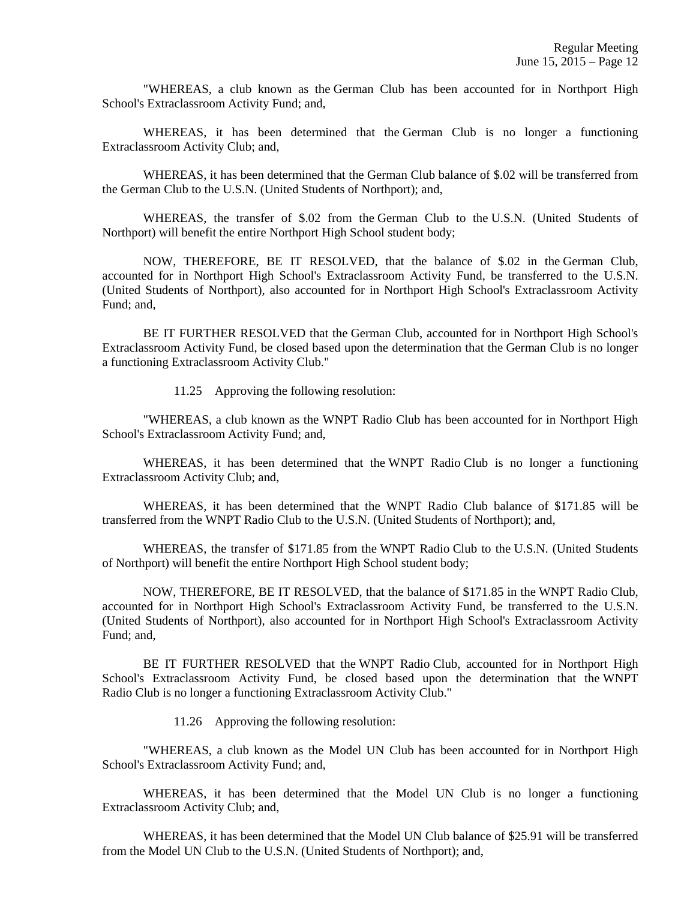"WHEREAS, a club known as the German Club has been accounted for in Northport High School's Extraclassroom Activity Fund; and,

 WHEREAS, it has been determined that the German Club is no longer a functioning Extraclassroom Activity Club; and,

 WHEREAS, it has been determined that the German Club balance of \$.02 will be transferred from the German Club to the U.S.N. (United Students of Northport); and,

 WHEREAS, the transfer of \$.02 from the German Club to the U.S.N. (United Students of Northport) will benefit the entire Northport High School student body;

 NOW, THEREFORE, BE IT RESOLVED, that the balance of \$.02 in the German Club, accounted for in Northport High School's Extraclassroom Activity Fund, be transferred to the U.S.N. (United Students of Northport), also accounted for in Northport High School's Extraclassroom Activity Fund; and,

 BE IT FURTHER RESOLVED that the German Club, accounted for in Northport High School's Extraclassroom Activity Fund, be closed based upon the determination that the German Club is no longer a functioning Extraclassroom Activity Club."

11.25 Approving the following resolution:

 "WHEREAS, a club known as the WNPT Radio Club has been accounted for in Northport High School's Extraclassroom Activity Fund; and,

 WHEREAS, it has been determined that the WNPT Radio Club is no longer a functioning Extraclassroom Activity Club; and,

 WHEREAS, it has been determined that the WNPT Radio Club balance of \$171.85 will be transferred from the WNPT Radio Club to the U.S.N. (United Students of Northport); and,

 WHEREAS, the transfer of \$171.85 from the WNPT Radio Club to the U.S.N. (United Students of Northport) will benefit the entire Northport High School student body;

 NOW, THEREFORE, BE IT RESOLVED, that the balance of \$171.85 in the WNPT Radio Club, accounted for in Northport High School's Extraclassroom Activity Fund, be transferred to the U.S.N. (United Students of Northport), also accounted for in Northport High School's Extraclassroom Activity Fund; and,

 BE IT FURTHER RESOLVED that the WNPT Radio Club, accounted for in Northport High School's Extraclassroom Activity Fund, be closed based upon the determination that the WNPT Radio Club is no longer a functioning Extraclassroom Activity Club."

11.26 Approving the following resolution:

 "WHEREAS, a club known as the Model UN Club has been accounted for in Northport High School's Extraclassroom Activity Fund; and,

 WHEREAS, it has been determined that the Model UN Club is no longer a functioning Extraclassroom Activity Club; and,

 WHEREAS, it has been determined that the Model UN Club balance of \$25.91 will be transferred from the Model UN Club to the U.S.N. (United Students of Northport); and,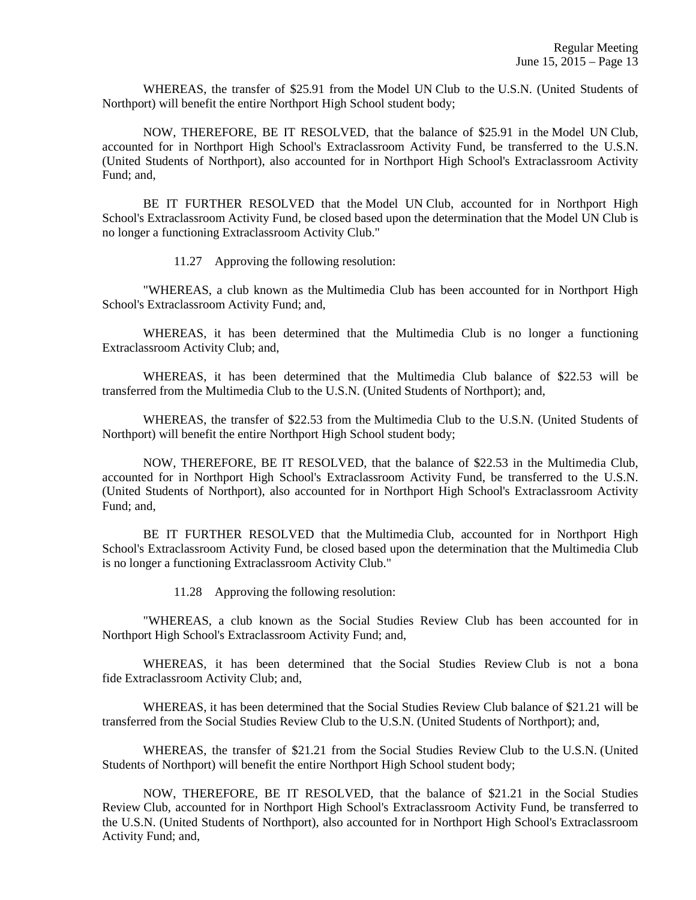WHEREAS, the transfer of \$25.91 from the Model UN Club to the U.S.N. (United Students of Northport) will benefit the entire Northport High School student body;

 NOW, THEREFORE, BE IT RESOLVED, that the balance of \$25.91 in the Model UN Club, accounted for in Northport High School's Extraclassroom Activity Fund, be transferred to the U.S.N. (United Students of Northport), also accounted for in Northport High School's Extraclassroom Activity Fund; and,

 BE IT FURTHER RESOLVED that the Model UN Club, accounted for in Northport High School's Extraclassroom Activity Fund, be closed based upon the determination that the Model UN Club is no longer a functioning Extraclassroom Activity Club."

11.27 Approving the following resolution:

 "WHEREAS, a club known as the Multimedia Club has been accounted for in Northport High School's Extraclassroom Activity Fund; and,

 WHEREAS, it has been determined that the Multimedia Club is no longer a functioning Extraclassroom Activity Club; and,

 WHEREAS, it has been determined that the Multimedia Club balance of \$22.53 will be transferred from the Multimedia Club to the U.S.N. (United Students of Northport); and,

 WHEREAS, the transfer of \$22.53 from the Multimedia Club to the U.S.N. (United Students of Northport) will benefit the entire Northport High School student body;

 NOW, THEREFORE, BE IT RESOLVED, that the balance of \$22.53 in the Multimedia Club, accounted for in Northport High School's Extraclassroom Activity Fund, be transferred to the U.S.N. (United Students of Northport), also accounted for in Northport High School's Extraclassroom Activity Fund; and,

 BE IT FURTHER RESOLVED that the Multimedia Club, accounted for in Northport High School's Extraclassroom Activity Fund, be closed based upon the determination that the Multimedia Club is no longer a functioning Extraclassroom Activity Club."

11.28 Approving the following resolution:

 "WHEREAS, a club known as the Social Studies Review Club has been accounted for in Northport High School's Extraclassroom Activity Fund; and,

 WHEREAS, it has been determined that the Social Studies Review Club is not a bona fide Extraclassroom Activity Club; and,

 WHEREAS, it has been determined that the Social Studies Review Club balance of \$21.21 will be transferred from the Social Studies Review Club to the U.S.N. (United Students of Northport); and,

 WHEREAS, the transfer of \$21.21 from the Social Studies Review Club to the U.S.N. (United Students of Northport) will benefit the entire Northport High School student body;

 NOW, THEREFORE, BE IT RESOLVED, that the balance of \$21.21 in the Social Studies Review Club, accounted for in Northport High School's Extraclassroom Activity Fund, be transferred to the U.S.N. (United Students of Northport), also accounted for in Northport High School's Extraclassroom Activity Fund; and,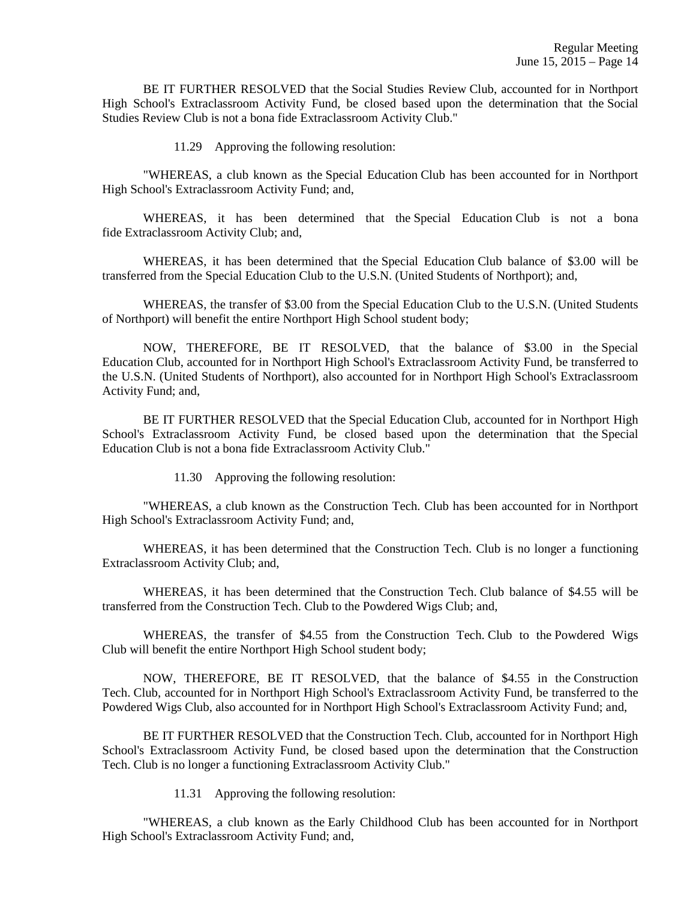BE IT FURTHER RESOLVED that the Social Studies Review Club, accounted for in Northport High School's Extraclassroom Activity Fund, be closed based upon the determination that the Social Studies Review Club is not a bona fide Extraclassroom Activity Club."

11.29 Approving the following resolution:

 "WHEREAS, a club known as the Special Education Club has been accounted for in Northport High School's Extraclassroom Activity Fund; and,

 WHEREAS, it has been determined that the Special Education Club is not a bona fide Extraclassroom Activity Club; and,

 WHEREAS, it has been determined that the Special Education Club balance of \$3.00 will be transferred from the Special Education Club to the U.S.N. (United Students of Northport); and,

 WHEREAS, the transfer of \$3.00 from the Special Education Club to the U.S.N. (United Students of Northport) will benefit the entire Northport High School student body;

 NOW, THEREFORE, BE IT RESOLVED, that the balance of \$3.00 in the Special Education Club, accounted for in Northport High School's Extraclassroom Activity Fund, be transferred to the U.S.N. (United Students of Northport), also accounted for in Northport High School's Extraclassroom Activity Fund; and,

 BE IT FURTHER RESOLVED that the Special Education Club, accounted for in Northport High School's Extraclassroom Activity Fund, be closed based upon the determination that the Special Education Club is not a bona fide Extraclassroom Activity Club."

11.30 Approving the following resolution:

 "WHEREAS, a club known as the Construction Tech. Club has been accounted for in Northport High School's Extraclassroom Activity Fund; and,

 WHEREAS, it has been determined that the Construction Tech. Club is no longer a functioning Extraclassroom Activity Club; and,

 WHEREAS, it has been determined that the Construction Tech. Club balance of \$4.55 will be transferred from the Construction Tech. Club to the Powdered Wigs Club; and,

 WHEREAS, the transfer of \$4.55 from the Construction Tech. Club to the Powdered Wigs Club will benefit the entire Northport High School student body;

 NOW, THEREFORE, BE IT RESOLVED, that the balance of \$4.55 in the Construction Tech. Club, accounted for in Northport High School's Extraclassroom Activity Fund, be transferred to the Powdered Wigs Club, also accounted for in Northport High School's Extraclassroom Activity Fund; and,

 BE IT FURTHER RESOLVED that the Construction Tech. Club, accounted for in Northport High School's Extraclassroom Activity Fund, be closed based upon the determination that the Construction Tech. Club is no longer a functioning Extraclassroom Activity Club."

11.31 Approving the following resolution:

 "WHEREAS, a club known as the Early Childhood Club has been accounted for in Northport High School's Extraclassroom Activity Fund; and,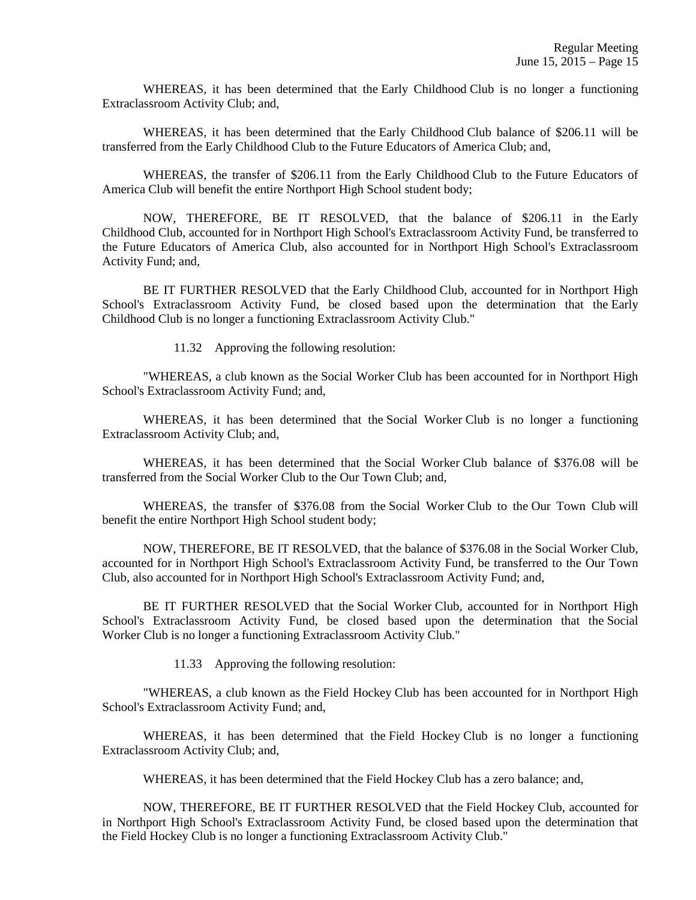WHEREAS, it has been determined that the Early Childhood Club is no longer a functioning Extraclassroom Activity Club; and,

 WHEREAS, it has been determined that the Early Childhood Club balance of \$206.11 will be transferred from the Early Childhood Club to the Future Educators of America Club; and,

 WHEREAS, the transfer of \$206.11 from the Early Childhood Club to the Future Educators of America Club will benefit the entire Northport High School student body;

 NOW, THEREFORE, BE IT RESOLVED, that the balance of \$206.11 in the Early Childhood Club, accounted for in Northport High School's Extraclassroom Activity Fund, be transferred to the Future Educators of America Club, also accounted for in Northport High School's Extraclassroom Activity Fund; and,

 BE IT FURTHER RESOLVED that the Early Childhood Club, accounted for in Northport High School's Extraclassroom Activity Fund, be closed based upon the determination that the Early Childhood Club is no longer a functioning Extraclassroom Activity Club."

11.32 Approving the following resolution:

 "WHEREAS, a club known as the Social Worker Club has been accounted for in Northport High School's Extraclassroom Activity Fund; and,

 WHEREAS, it has been determined that the Social Worker Club is no longer a functioning Extraclassroom Activity Club; and,

 WHEREAS, it has been determined that the Social Worker Club balance of \$376.08 will be transferred from the Social Worker Club to the Our Town Club; and,

 WHEREAS, the transfer of \$376.08 from the Social Worker Club to the Our Town Club will benefit the entire Northport High School student body;

 NOW, THEREFORE, BE IT RESOLVED, that the balance of \$376.08 in the Social Worker Club, accounted for in Northport High School's Extraclassroom Activity Fund, be transferred to the Our Town Club, also accounted for in Northport High School's Extraclassroom Activity Fund; and,

 BE IT FURTHER RESOLVED that the Social Worker Club, accounted for in Northport High School's Extraclassroom Activity Fund, be closed based upon the determination that the Social Worker Club is no longer a functioning Extraclassroom Activity Club."

11.33 Approving the following resolution:

 "WHEREAS, a club known as the Field Hockey Club has been accounted for in Northport High School's Extraclassroom Activity Fund; and,

 WHEREAS, it has been determined that the Field Hockey Club is no longer a functioning Extraclassroom Activity Club; and,

WHEREAS, it has been determined that the Field Hockey Club has a zero balance; and,

 NOW, THEREFORE, BE IT FURTHER RESOLVED that the Field Hockey Club, accounted for in Northport High School's Extraclassroom Activity Fund, be closed based upon the determination that the Field Hockey Club is no longer a functioning Extraclassroom Activity Club."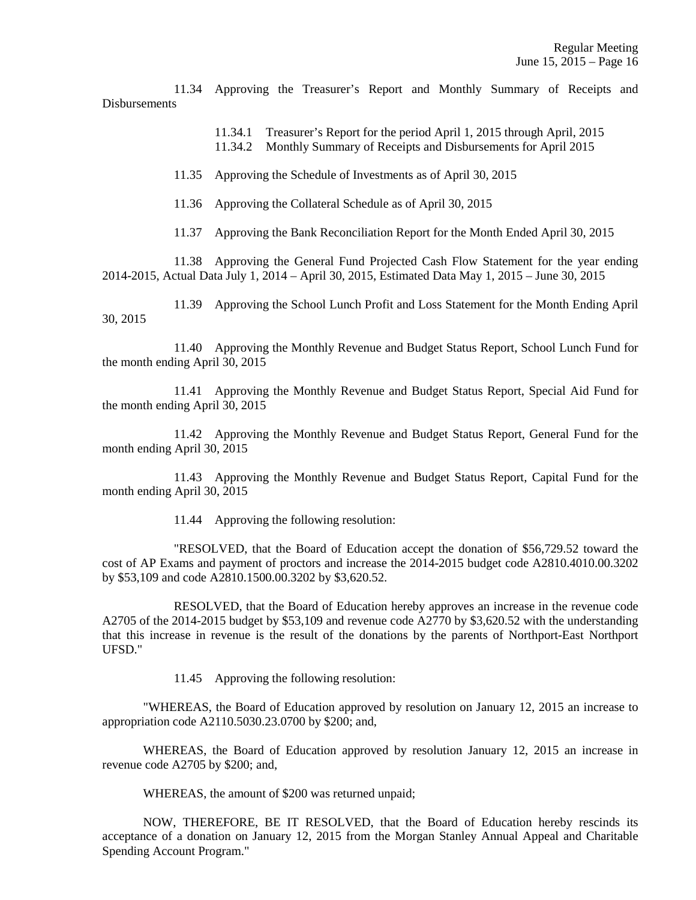11.34 Approving the Treasurer's Report and Monthly Summary of Receipts and **Dishursements** 

> 11.34.1 Treasurer's Report for the period April 1, 2015 through April, 2015 11.34.2 Monthly Summary of Receipts and Disbursements for April 2015

11.35 Approving the Schedule of Investments as of April 30, 2015

11.36 Approving the Collateral Schedule as of April 30, 2015

11.37 Approving the Bank Reconciliation Report for the Month Ended April 30, 2015

 11.38 Approving the General Fund Projected Cash Flow Statement for the year ending 2014-2015, Actual Data July 1, 2014 – April 30, 2015, Estimated Data May 1, 2015 – June 30, 2015

 11.39 Approving the School Lunch Profit and Loss Statement for the Month Ending April 30, 2015

 11.40 Approving the Monthly Revenue and Budget Status Report, School Lunch Fund for the month ending April 30, 2015

 11.41 Approving the Monthly Revenue and Budget Status Report, Special Aid Fund for the month ending April 30, 2015

 11.42 Approving the Monthly Revenue and Budget Status Report, General Fund for the month ending April 30, 2015

 11.43 Approving the Monthly Revenue and Budget Status Report, Capital Fund for the month ending April 30, 2015

11.44 Approving the following resolution:

 "RESOLVED, that the Board of Education accept the donation of \$56,729.52 toward the cost of AP Exams and payment of proctors and increase the 2014-2015 budget code A2810.4010.00.3202 by \$53,109 and code A2810.1500.00.3202 by \$3,620.52.

 RESOLVED, that the Board of Education hereby approves an increase in the revenue code A2705 of the 2014-2015 budget by \$53,109 and revenue code A2770 by \$3,620.52 with the understanding that this increase in revenue is the result of the donations by the parents of Northport-East Northport UFSD."

11.45 Approving the following resolution:

 "WHEREAS, the Board of Education approved by resolution on January 12, 2015 an increase to appropriation code A2110.5030.23.0700 by \$200; and,

 WHEREAS, the Board of Education approved by resolution January 12, 2015 an increase in revenue code A2705 by \$200; and,

WHEREAS, the amount of \$200 was returned unpaid;

 NOW, THEREFORE, BE IT RESOLVED, that the Board of Education hereby rescinds its acceptance of a donation on January 12, 2015 from the Morgan Stanley Annual Appeal and Charitable Spending Account Program."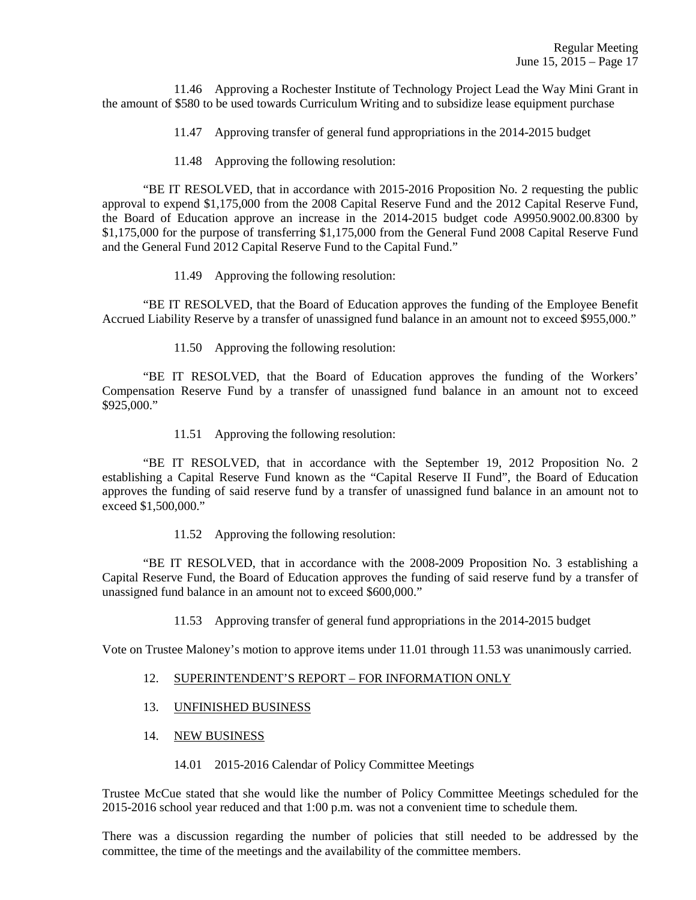11.46 Approving a Rochester Institute of Technology Project Lead the Way Mini Grant in the amount of \$580 to be used towards Curriculum Writing and to subsidize lease equipment purchase

- 11.47 Approving transfer of general fund appropriations in the 2014-2015 budget
- 11.48 Approving the following resolution:

 "BE IT RESOLVED, that in accordance with 2015-2016 Proposition No. 2 requesting the public approval to expend \$1,175,000 from the 2008 Capital Reserve Fund and the 2012 Capital Reserve Fund, the Board of Education approve an increase in the 2014-2015 budget code A9950.9002.00.8300 by \$1,175,000 for the purpose of transferring \$1,175,000 from the General Fund 2008 Capital Reserve Fund and the General Fund 2012 Capital Reserve Fund to the Capital Fund."

11.49 Approving the following resolution:

 "BE IT RESOLVED, that the Board of Education approves the funding of the Employee Benefit Accrued Liability Reserve by a transfer of unassigned fund balance in an amount not to exceed \$955,000."

11.50 Approving the following resolution:

 "BE IT RESOLVED, that the Board of Education approves the funding of the Workers' Compensation Reserve Fund by a transfer of unassigned fund balance in an amount not to exceed \$925,000."

11.51 Approving the following resolution:

 "BE IT RESOLVED, that in accordance with the September 19, 2012 Proposition No. 2 establishing a Capital Reserve Fund known as the "Capital Reserve II Fund", the Board of Education approves the funding of said reserve fund by a transfer of unassigned fund balance in an amount not to exceed \$1,500,000."

11.52 Approving the following resolution:

 "BE IT RESOLVED, that in accordance with the 2008-2009 Proposition No. 3 establishing a Capital Reserve Fund, the Board of Education approves the funding of said reserve fund by a transfer of unassigned fund balance in an amount not to exceed \$600,000."

11.53 Approving transfer of general fund appropriations in the 2014-2015 budget

Vote on Trustee Maloney's motion to approve items under 11.01 through 11.53 was unanimously carried.

- 12. SUPERINTENDENT'S REPORT FOR INFORMATION ONLY
- 13. UNFINISHED BUSINESS
- 14. NEW BUSINESS
	- 14.01 2015-2016 Calendar of Policy Committee Meetings

Trustee McCue stated that she would like the number of Policy Committee Meetings scheduled for the 2015-2016 school year reduced and that 1:00 p.m. was not a convenient time to schedule them.

There was a discussion regarding the number of policies that still needed to be addressed by the committee, the time of the meetings and the availability of the committee members.